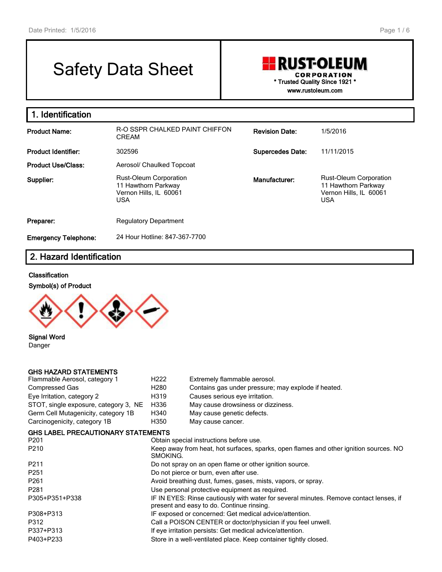# Safety Data Sheet

## **RUST-OLEUM CORPORATION \* Trusted Quality Since 1921 \* www.rustoleum.com**

**1. Identification Product Name:** R-O SSPR CHALKED PAINT CHIFFON CREAM **Revision Date:** 1/5/2016 **Product Identifier:** 302596 **Supercedes Date:** 11/11/2015 Product Use/Class: Aerosol/ Chaulked Topcoat **Supplier:** Rust-Oleum Corporation 11 Hawthorn Parkway Vernon Hills, IL 60061 USA **Manufacturer:** Rust-Oleum Corporation 11 Hawthorn Parkway Vernon Hills, IL 60061 USA **Preparer:** Regulatory Department **Emergency Telephone:** 24 Hour Hotline: 847-367-7700

## **2. Hazard Identification**

#### **Classification**





**Signal Word** Danger

#### **GHS HAZARD STATEMENTS**

| Flammable Aerosol, category 1             | H <sub>222</sub> | Extremely flammable aerosol.                                                           |
|-------------------------------------------|------------------|----------------------------------------------------------------------------------------|
| Compressed Gas                            | H <sub>280</sub> | Contains gas under pressure; may explode if heated.                                    |
| Eye Irritation, category 2                | H319             | Causes serious eye irritation.                                                         |
| STOT, single exposure, category 3, NE     | H336             | May cause drowsiness or dizziness.                                                     |
| Germ Cell Mutagenicity, category 1B       | H340             | May cause genetic defects.                                                             |
| Carcinogenicity, category 1B              | H350             | May cause cancer.                                                                      |
| <b>GHS LABEL PRECAUTIONARY STATEMENTS</b> |                  |                                                                                        |
| P201                                      |                  | Obtain special instructions before use.                                                |
| P210                                      |                  | Keep away from heat, hot surfaces, sparks, open flames and other ignition sources. NO  |
|                                           | SMOKING.         |                                                                                        |
| P211                                      |                  | Do not spray on an open flame or other ignition source.                                |
| P251                                      |                  | Do not pierce or burn, even after use.                                                 |
| P261                                      |                  | Avoid breathing dust, fumes, gases, mists, vapors, or spray.                           |
| P281                                      |                  | Use personal protective equipment as required.                                         |
| P305+P351+P338                            |                  | IF IN EYES: Rinse cautiously with water for several minutes. Remove contact lenses, if |
|                                           |                  | present and easy to do. Continue rinsing.                                              |
| P308+P313                                 |                  | IF exposed or concerned: Get medical advice/attention.                                 |
| P312                                      |                  | Call a POISON CENTER or doctor/physician if you feel unwell.                           |
| P337+P313                                 |                  | If eye irritation persists: Get medical advice/attention.                              |
| P403+P233                                 |                  | Store in a well-ventilated place. Keep container tightly closed.                       |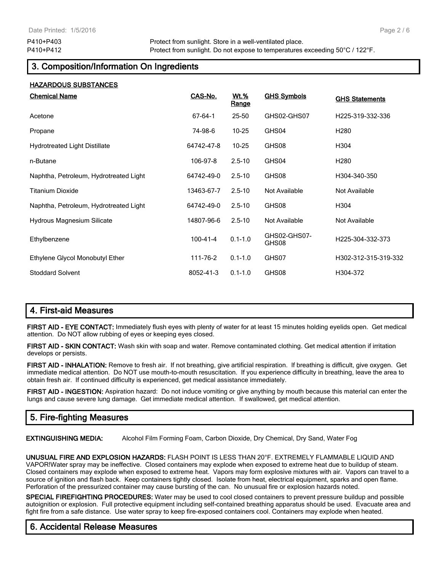# **3. Composition/Information On Ingredients**

| <b>HAZARDOUS SUBSTANCES</b>            |                |                             |                       |                       |
|----------------------------------------|----------------|-----------------------------|-----------------------|-----------------------|
| <b>Chemical Name</b>                   | <u>CAS-No.</u> | <u>Wt.%</u><br><u>Range</u> | <b>GHS Symbols</b>    | <b>GHS Statements</b> |
| Acetone                                | 67-64-1        | $25 - 50$                   | GHS02-GHS07           | H225-319-332-336      |
| Propane                                | 74-98-6        | $10 - 25$                   | GHS04                 | H <sub>280</sub>      |
| <b>Hydrotreated Light Distillate</b>   | 64742-47-8     | $10 - 25$                   | GHS08                 | H304                  |
| n-Butane                               | 106-97-8       | $2.5 - 10$                  | GHS04                 | H280                  |
| Naphtha, Petroleum, Hydrotreated Light | 64742-49-0     | $2.5 - 10$                  | GHS08                 | H304-340-350          |
| <b>Titanium Dioxide</b>                | 13463-67-7     | $2.5 - 10$                  | Not Available         | Not Available         |
| Naphtha, Petroleum, Hydrotreated Light | 64742-49-0     | $2.5 - 10$                  | GHS08                 | H304                  |
| <b>Hydrous Magnesium Silicate</b>      | 14807-96-6     | $2.5 - 10$                  | Not Available         | Not Available         |
| Ethylbenzene                           | $100 - 41 - 4$ | $0.1 - 1.0$                 | GHS02-GHS07-<br>GHS08 | H225-304-332-373      |
| Ethylene Glycol Monobutyl Ether        | 111-76-2       | $0.1 - 1.0$                 | GHS07                 | H302-312-315-319-332  |
| <b>Stoddard Solvent</b>                | 8052-41-3      | $0.1 - 1.0$                 | GHS08                 | H304-372              |

# **4. First-aid Measures**

**FIRST AID - EYE CONTACT:** Immediately flush eyes with plenty of water for at least 15 minutes holding eyelids open. Get medical attention. Do NOT allow rubbing of eyes or keeping eyes closed.

**FIRST AID - SKIN CONTACT:** Wash skin with soap and water. Remove contaminated clothing. Get medical attention if irritation develops or persists.

**FIRST AID - INHALATION:** Remove to fresh air. If not breathing, give artificial respiration. If breathing is difficult, give oxygen. Get immediate medical attention. Do NOT use mouth-to-mouth resuscitation. If you experience difficulty in breathing, leave the area to obtain fresh air. If continued difficulty is experienced, get medical assistance immediately.

**FIRST AID - INGESTION:** Aspiration hazard: Do not induce vomiting or give anything by mouth because this material can enter the lungs and cause severe lung damage. Get immediate medical attention. If swallowed, get medical attention.

# **5. Fire-fighting Measures**

**EXTINGUISHING MEDIA:** Alcohol Film Forming Foam, Carbon Dioxide, Dry Chemical, Dry Sand, Water Fog

**UNUSUAL FIRE AND EXPLOSION HAZARDS:** FLASH POINT IS LESS THAN 20°F. EXTREMELY FLAMMABLE LIQUID AND VAPOR!Water spray may be ineffective. Closed containers may explode when exposed to extreme heat due to buildup of steam. Closed containers may explode when exposed to extreme heat. Vapors may form explosive mixtures with air. Vapors can travel to a source of ignition and flash back. Keep containers tightly closed. Isolate from heat, electrical equipment, sparks and open flame. Perforation of the pressurized container may cause bursting of the can. No unusual fire or explosion hazards noted.

**SPECIAL FIREFIGHTING PROCEDURES:** Water may be used to cool closed containers to prevent pressure buildup and possible autoignition or explosion. Full protective equipment including self-contained breathing apparatus should be used. Evacuate area and fight fire from a safe distance. Use water spray to keep fire-exposed containers cool. Containers may explode when heated.

# **6. Accidental Release Measures**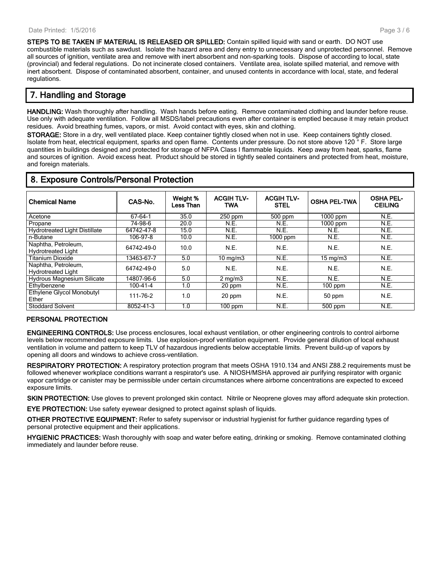**STEPS TO BE TAKEN IF MATERIAL IS RELEASED OR SPILLED:** Contain spilled liquid with sand or earth. DO NOT use combustible materials such as sawdust. Isolate the hazard area and deny entry to unnecessary and unprotected personnel. Remove all sources of ignition, ventilate area and remove with inert absorbent and non-sparking tools. Dispose of according to local, state (provincial) and federal regulations. Do not incinerate closed containers. Ventilate area, isolate spilled material, and remove with inert absorbent. Dispose of contaminated absorbent, container, and unused contents in accordance with local, state, and federal regulations.

## **7. Handling and Storage**

**HANDLING:** Wash thoroughly after handling. Wash hands before eating. Remove contaminated clothing and launder before reuse. Use only with adequate ventilation. Follow all MSDS/label precautions even after container is emptied because it may retain product residues. Avoid breathing fumes, vapors, or mist. Avoid contact with eyes, skin and clothing.

**STORAGE:** Store in a dry, well ventilated place. Keep container tightly closed when not in use. Keep containers tightly closed. Isolate from heat, electrical equipment, sparks and open flame. Contents under pressure. Do not store above 120 ° F. Store large quantities in buildings designed and protected for storage of NFPA Class I flammable liquids. Keep away from heat, sparks, flame and sources of ignition. Avoid excess heat. Product should be stored in tightly sealed containers and protected from heat, moisture, and foreign materials.

| <b>Chemical Name</b>                             | CAS-No.    | Weight %<br>Less Than | <b>ACGIH TLV-</b><br><b>TWA</b> | <b>ACGIH TLV-</b><br><b>STEL</b> | <b>OSHA PEL-TWA</b> | <b>OSHA PEL-</b><br><b>CEILING</b> |
|--------------------------------------------------|------------|-----------------------|---------------------------------|----------------------------------|---------------------|------------------------------------|
| Acetone                                          | 67-64-1    | 35.0                  | 250 ppm                         | $500$ ppm                        | $1000$ ppm          | N.E.                               |
| Propane                                          | 74-98-6    | 20.0                  | N.E.                            | N.E.                             | $1000$ ppm          | N.E.                               |
| <b>Hydrotreated Light Distillate</b>             | 64742-47-8 | 15.0                  | N.E.                            | N.E.                             | N.E.                | N.E.                               |
| n-Butane                                         | 106-97-8   | 10.0                  | N.E.                            | $1000$ ppm                       | N.E.                | N.E.                               |
| Naphtha, Petroleum,<br><b>Hydrotreated Light</b> | 64742-49-0 | 10.0                  | N.E.                            | N.E.                             | N.E.                | N.E.                               |
| <b>Titanium Dioxide</b>                          | 13463-67-7 | 5.0                   | $10 \text{ mg/m}$               | N.E.                             | $15 \text{ mg/m}$   | N.E.                               |
| Naphtha, Petroleum,<br><b>Hydrotreated Light</b> | 64742-49-0 | 5.0                   | N.E.                            | N.E.                             | N.E.                | N.E.                               |
| Hydrous Magnesium Silicate                       | 14807-96-6 | 5.0                   | $2 \text{ mg/m}$                | N.E.                             | N.E.                | N.E.                               |
| Ethylbenzene                                     | 100-41-4   | 1.0                   | 20 ppm                          | N.E.                             | $100$ ppm           | N.E.                               |
| Ethylene Glycol Monobutyl<br>Ether               | 111-76-2   | 1.0                   | 20 ppm                          | N.E.                             | 50 ppm              | N.E.                               |
| <b>Stoddard Solvent</b>                          | 8052-41-3  | 1.0                   | $100$ ppm                       | N.E.                             | 500 ppm             | N.E.                               |

## **8. Exposure Controls/Personal Protection**

#### **PERSONAL PROTECTION**

**ENGINEERING CONTROLS:** Use process enclosures, local exhaust ventilation, or other engineering controls to control airborne levels below recommended exposure limits. Use explosion-proof ventilation equipment. Provide general dilution of local exhaust ventilation in volume and pattern to keep TLV of hazardous ingredients below acceptable limits. Prevent build-up of vapors by opening all doors and windows to achieve cross-ventilation.

**RESPIRATORY PROTECTION:** A respiratory protection program that meets OSHA 1910.134 and ANSI Z88.2 requirements must be followed whenever workplace conditions warrant a respirator's use. A NIOSH/MSHA approved air purifying respirator with organic vapor cartridge or canister may be permissible under certain circumstances where airborne concentrations are expected to exceed exposure limits.

**SKIN PROTECTION:** Use gloves to prevent prolonged skin contact. Nitrile or Neoprene gloves may afford adequate skin protection.

**EYE PROTECTION:** Use safety eyewear designed to protect against splash of liquids.

**OTHER PROTECTIVE EQUIPMENT:** Refer to safety supervisor or industrial hygienist for further guidance regarding types of personal protective equipment and their applications.

**HYGIENIC PRACTICES:** Wash thoroughly with soap and water before eating, drinking or smoking. Remove contaminated clothing immediately and launder before reuse.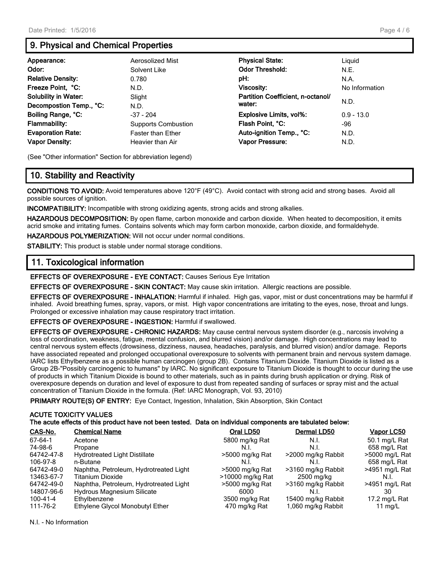# **9. Physical and Chemical Properties**

| Appearance:<br>Odor:<br><b>Relative Density:</b> | Aerosolized Mist<br>Solvent Like<br>0.780 | <b>Physical State:</b><br><b>Odor Threshold:</b><br>pH: | Liguid<br>N.E.<br>N.A. |
|--------------------------------------------------|-------------------------------------------|---------------------------------------------------------|------------------------|
| Freeze Point, °C:                                | N.D.                                      | <b>Viscosity:</b>                                       | No Information         |
| <b>Solubility in Water:</b>                      | Slight                                    | Partition Coefficient, n-octanol/                       | N.D.                   |
| Decompostion Temp., °C:                          | N.D.                                      | water:                                                  |                        |
| Boiling Range, °C:                               | $-37 - 204$                               | Explosive Limits, vol%:                                 | $0.9 - 13.0$           |
| <b>Flammability:</b>                             | <b>Supports Combustion</b>                | Flash Point, °C:                                        | -96                    |
| <b>Evaporation Rate:</b>                         | <b>Faster than Ether</b>                  | Auto-ignition Temp., °C:                                | N.D.                   |
| <b>Vapor Density:</b>                            | Heavier than Air                          | Vapor Pressure:                                         | N.D.                   |

(See "Other information" Section for abbreviation legend)

# **10. Stability and Reactivity**

**CONDITIONS TO AVOID:** Avoid temperatures above 120°F (49°C). Avoid contact with strong acid and strong bases. Avoid all possible sources of ignition.

**INCOMPATIBILITY:** Incompatible with strong oxidizing agents, strong acids and strong alkalies.

**HAZARDOUS DECOMPOSITION:** By open flame, carbon monoxide and carbon dioxide. When heated to decomposition, it emits acrid smoke and irritating fumes. Contains solvents which may form carbon monoxide, carbon dioxide, and formaldehyde.

**HAZARDOUS POLYMERIZATION:** Will not occur under normal conditions.

**STABILITY:** This product is stable under normal storage conditions.

### **11. Toxicological information**

**EFFECTS OF OVEREXPOSURE - EYE CONTACT:** Causes Serious Eye Irritation

**EFFECTS OF OVEREXPOSURE - SKIN CONTACT:** May cause skin irritation. Allergic reactions are possible.

**EFFECTS OF OVEREXPOSURE - INHALATION:** Harmful if inhaled. High gas, vapor, mist or dust concentrations may be harmful if inhaled. Avoid breathing fumes, spray, vapors, or mist. High vapor concentrations are irritating to the eyes, nose, throat and lungs. Prolonged or excessive inhalation may cause respiratory tract irritation.

**EFFECTS OF OVEREXPOSURE - INGESTION:** Harmful if swallowed.

**EFFECTS OF OVEREXPOSURE - CHRONIC HAZARDS:** May cause central nervous system disorder (e.g., narcosis involving a loss of coordination, weakness, fatigue, mental confusion, and blurred vision) and/or damage. High concentrations may lead to central nervous system effects (drowsiness, dizziness, nausea, headaches, paralysis, and blurred vision) and/or damage. Reports have associated repeated and prolonged occupational overexposure to solvents with permanent brain and nervous system damage. IARC lists Ethylbenzene as a possible human carcinogen (group 2B). Contains Titanium Dioxide. Titanium Dioxide is listed as a Group 2B-"Possibly carcinogenic to humans" by IARC. No significant exposure to Titanium Dioxide is thought to occur during the use of products in which Titanium Dioxide is bound to other materials, such as in paints during brush application or drying. Risk of overexposure depends on duration and level of exposure to dust from repeated sanding of surfaces or spray mist and the actual concentration of Titanium Dioxide in the formula. (Ref: IARC Monograph, Vol. 93, 2010)

**PRIMARY ROUTE(S) OF ENTRY:** Eye Contact, Ingestion, Inhalation, Skin Absorption, Skin Contact

#### **ACUTE TOXICITY VALUES**

**The acute effects of this product have not been tested. Data on individual components are tabulated below:**

| CAS-No.    | <b>Chemical Name</b>                   | Oral LD50        | Dermal LD50        | Vapor LC50       |
|------------|----------------------------------------|------------------|--------------------|------------------|
| 67-64-1    | Acetone                                | 5800 mg/kg Rat   | N.I.               | 50.1 mg/L Rat    |
| 74-98-6    | Propane                                | N.I.             | N.I.               | 658 mg/L Rat     |
| 64742-47-8 | <b>Hydrotreated Light Distillate</b>   | >5000 mg/kg Rat  | >2000 mg/kg Rabbit | >5000 mg/L Rat   |
| 106-97-8   | n-Butane                               | N.I.             | N.I.               | 658 mg/L Rat     |
| 64742-49-0 | Naphtha, Petroleum, Hydrotreated Light | >5000 mg/kg Rat  | >3160 mg/kg Rabbit | $>4951$ mg/L Rat |
| 13463-67-7 | Titanium Dioxide                       | >10000 mg/kg Rat | 2500 mg/kg         | N.I.             |
| 64742-49-0 | Naphtha, Petroleum, Hydrotreated Light | >5000 mg/kg Rat  | >3160 mg/kg Rabbit | >4951 mg/L Rat   |
| 14807-96-6 | <b>Hydrous Magnesium Silicate</b>      | 6000             | N.I.               | 30               |
| 100-41-4   | Ethylbenzene                           | 3500 mg/kg Rat   | 15400 mg/kg Rabbit | 17.2 mg/L Rat    |
| 111-76-2   | Ethylene Glycol Monobutyl Ether        | 470 mg/kg Rat    | 1,060 mg/kg Rabbit | 11 $mq/L$        |

N.I. - No Information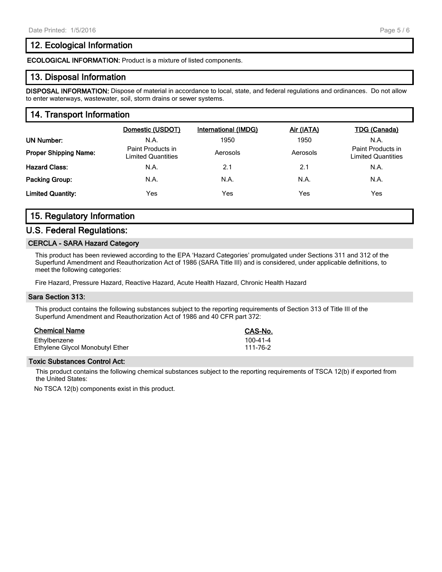## **12. Ecological Information**

**ECOLOGICAL INFORMATION:** Product is a mixture of listed components.

### **13. Disposal Information**

**DISPOSAL INFORMATION:** Dispose of material in accordance to local, state, and federal regulations and ordinances. Do not allow to enter waterways, wastewater, soil, storm drains or sewer systems.

## **14. Transport Information**

|                              | Domestic (USDOT)                        | International (IMDG) | Air (IATA) | TDG (Canada)                                   |
|------------------------------|-----------------------------------------|----------------------|------------|------------------------------------------------|
| UN Number:                   | N.A.                                    | 1950                 | 1950       | N.A.                                           |
| <b>Proper Shipping Name:</b> | Paint Products in<br>Limited Quantities | Aerosols             | Aerosols   | Paint Products in<br><b>Limited Quantities</b> |
| <b>Hazard Class:</b>         | N.A.                                    | 2.1                  | 2.1        | N.A.                                           |
| <b>Packing Group:</b>        | N.A.                                    | N.A.                 | N.A.       | N.A.                                           |
| <b>Limited Quantity:</b>     | <b>Yes</b>                              | Yes                  | Yes        | Yes                                            |

# **15. Regulatory Information**

#### **U.S. Federal Regulations:**

#### **CERCLA - SARA Hazard Category**

This product has been reviewed according to the EPA 'Hazard Categories' promulgated under Sections 311 and 312 of the Superfund Amendment and Reauthorization Act of 1986 (SARA Title III) and is considered, under applicable definitions, to meet the following categories:

Fire Hazard, Pressure Hazard, Reactive Hazard, Acute Health Hazard, Chronic Health Hazard

#### **Sara Section 313:**

This product contains the following substances subject to the reporting requirements of Section 313 of Title III of the Superfund Amendment and Reauthorization Act of 1986 and 40 CFR part 372:

| <b>Chemical Name</b>            | <b>CAS-No.</b> |
|---------------------------------|----------------|
| Ethylbenzene                    | $100 - 41 - 4$ |
| Ethylene Glycol Monobutyl Ether | 111-76-2       |

#### **Toxic Substances Control Act:**

This product contains the following chemical substances subject to the reporting requirements of TSCA 12(b) if exported from the United States:

No TSCA 12(b) components exist in this product.